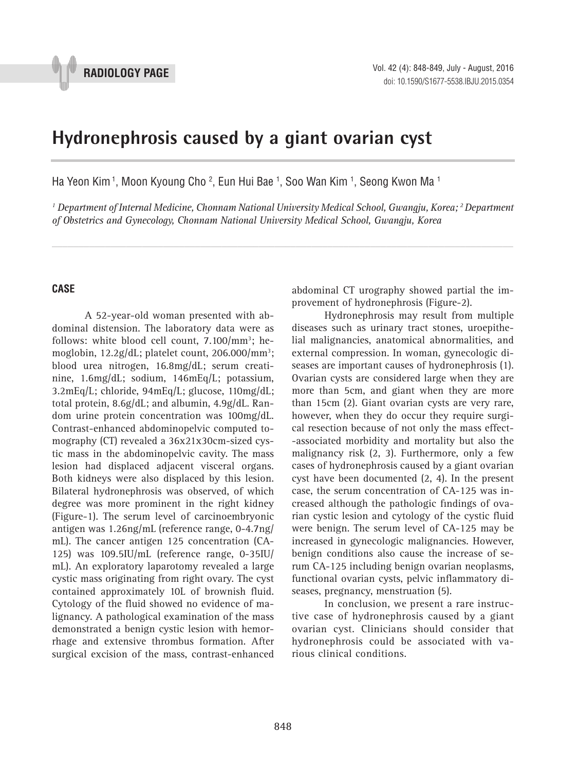

# **Hydronephrosis caused by a giant ovarian cyst 1**

Ha Yeon Kim <sup>1</sup>, Moon Kyoung Cho <sup>2</sup>, Eun Hui Bae <sup>1</sup>, Soo Wan Kim <sup>1</sup>, Seong Kwon Ma <sup>1</sup>

*1 Department of Internal Medicine, Chonnam National University Medical School, Gwangju, Korea; 2 Department of Obstetrics and Gynecology, Chonnam National University Medical School, Gwangju, Korea*

*\_\_\_\_\_\_\_\_\_\_\_\_\_\_\_\_\_\_\_\_\_\_\_\_\_\_\_\_\_\_\_\_\_\_\_\_\_\_\_\_\_\_\_\_\_\_\_\_\_\_\_\_\_\_\_\_\_\_\_\_\_\_\_\_\_\_\_\_\_\_\_\_\_\_\_\_\_\_\_\_\_\_\_\_\_\_\_*

### **CASE**

A 52-year-old woman presented with abdominal distension. The laboratory data were as follows: white blood cell count, 7.100/mm<sup>3</sup>; hemoglobin, 12.2g/dL; platelet count, 206.000/mm3 ; blood urea nitrogen, 16.8mg/dL; serum creatinine, 1.6mg/dL; sodium, 146mEq/L; potassium, 3.2mEq/L; chloride, 94mEq/L; glucose, 110mg/dL; total protein, 8.6g/dL; and albumin, 4.9g/dL. Random urine protein concentration was 100mg/dL. Contrast-enhanced abdominopelvic computed tomography (CT) revealed a 36x21x30cm-sized cystic mass in the abdominopelvic cavity. The mass lesion had displaced adjacent visceral organs. Both kidneys were also displaced by this lesion. Bilateral hydronephrosis was observed, of which degree was more prominent in the right kidney (Figure-1). The serum level of carcinoembryonic antigen was 1.26ng/mL (reference range, 0-4.7ng/ mL). The cancer antigen 125 concentration (CA-125) was 109.5IU/mL (reference range, 0-35IU/ mL). An exploratory laparotomy revealed a large cystic mass originating from right ovary. The cyst contained approximately 10L of brownish fluid. Cytology of the fluid showed no evidence of malignancy. A pathological examination of the mass demonstrated a benign cystic lesion with hemorrhage and extensive thrombus formation. After surgical excision of the mass, contrast-enhanced

abdominal CT urography showed partial the improvement of hydronephrosis (Figure-2).

Hydronephrosis may result from multiple diseases such as urinary tract stones, uroepithelial malignancies, anatomical abnormalities, and external compression. In woman, gynecologic diseases are important causes of hydronephrosis (1). Ovarian cysts are considered large when they are more than 5cm, and giant when they are more than 15cm (2). Giant ovarian cysts are very rare, however, when they do occur they require surgical resection because of not only the mass effect- -associated morbidity and mortality but also the malignancy risk (2, 3). Furthermore, only a few cases of hydronephrosis caused by a giant ovarian cyst have been documented (2, 4). In the present case, the serum concentration of CA-125 was increased although the pathologic findings of ovarian cystic lesion and cytology of the cystic fluid were benign. The serum level of CA-125 may be increased in gynecologic malignancies. However, benign conditions also cause the increase of serum CA-125 including benign ovarian neoplasms, functional ovarian cysts, pelvic inflammatory diseases, pregnancy, menstruation (5).

In conclusion, we present a rare instructive case of hydronephrosis caused by a giant ovarian cyst. Clinicians should consider that hydronephrosis could be associated with various clinical conditions.